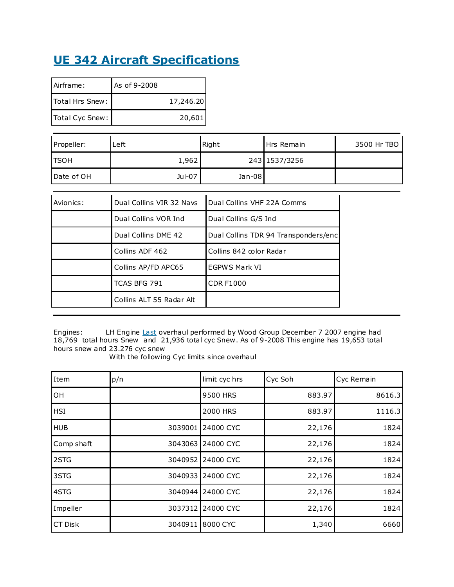## **UE 342 Aircraft Specifications**

| Airframe:       | As of 9-2008 |           |
|-----------------|--------------|-----------|
| Total Hrs Snew: |              | 17,246.20 |
| Total Cyc Snew: |              | 20,601    |

| Propeller:   | Left   | Right  | Hrs Remain    | 3500 Hr TBO |
|--------------|--------|--------|---------------|-------------|
| <b>ITSOH</b> | 1,962  |        | 243 1537/3256 |             |
| l Date of OH | Jul-07 | Jan-08 |               |             |

| Avionics: | Dual Collins VIR 32 Navs | Dual Collins VHF 22A Comms           |
|-----------|--------------------------|--------------------------------------|
|           | Dual Collins VOR Ind     | Dual Collins G/S Ind                 |
|           | Dual Collins DME 42      | Dual Collins TDR 94 Transponders/enc |
|           | Collins ADF 462          | Collins 842 color Radar              |
|           | Collins AP/FD APC65      | <b>EGPWS Mark VI</b>                 |
|           | TCAS BFG 791             | <b>CDR F1000</b>                     |
|           | Collins ALT 55 Radar Alt |                                      |

Engines: LH Engine [Last](http://aircraftinvestmentgroup.com/business_jets/beech1900d-ue342.html) overhaul performed by Wood Group December 7 2007 engine had 18,769 total hours Snew and 21,936 total cyc Snew . As of 9-2008 This engine has 19,653 total hours snew and 23.276 cyc snew

With the following Cyc limits since overhaul

| Item       | p/n     | limit cyc hrs | Cyc Soh | Cyc Remain |
|------------|---------|---------------|---------|------------|
| OH         |         | 9500 HRS      | 883.97  | 8616.3     |
| <b>HSI</b> |         | 2000 HRS      | 883.97  | 1116.3     |
| <b>HUB</b> | 3039001 | 24000 CYC     | 22,176  | 1824       |
| Comp shaft | 3043063 | 24000 CYC     | 22,176  | 1824       |
| 2STG       | 3040952 | 24000 CYC     | 22,176  | 1824       |
| 3STG       | 3040933 | 24000 CYC     | 22,176  | 1824       |
| 4STG       | 3040944 | 24000 CYC     | 22,176  | 1824       |
| Impeller   | 3037312 | 24000 CYC     | 22,176  | 1824       |
| CT Disk    | 3040911 | 8000 CYC      | 1,340   | 6660       |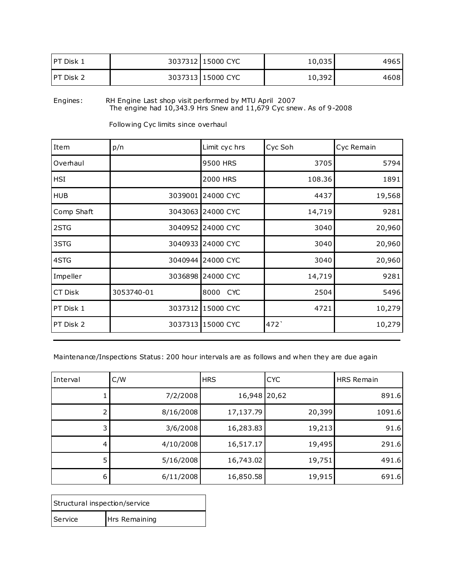| <b>IPT Disk 1</b> | 3037312 15000 CYC | 10,035 | 49651 |
|-------------------|-------------------|--------|-------|
| <b>IPT Disk 2</b> | 3037313 15000 CYC | 10,392 | 4608  |

Engines: RH Engine Last shop visit performed by MTU April 2007 The engine had 10,343.9 Hrs Snew and 11,679 Cyc snew . As of 9-2008

| Item       | p/n        | Limit cyc hrs      | Cyc Soh | Cyc Remain |
|------------|------------|--------------------|---------|------------|
| Overhaul   |            | 9500 HRS           | 3705    | 5794       |
| <b>HSI</b> |            | 2000 HRS           | 108.36  | 1891       |
| <b>HUB</b> | 3039001    | 24000 CYC          | 4437    | 19,568     |
| Comp Shaft |            | 3043063 24000 CYC  | 14,719  | 9281       |
| 2STG       | 3040952    | 24000 CYC          | 3040    | 20,960     |
| 3STG       | 3040933    | 24000 CYC          | 3040    | 20,960     |
| 4STG       |            | 3040944 24000 CYC  | 3040    | 20,960     |
| Impeller   |            | 3036898 24000 CYC  | 14,719  | 9281       |
| CT Disk    | 3053740-01 | 8000<br><b>CYC</b> | 2504    | 5496       |
| PT Disk 1  |            | 3037312 15000 CYC  | 4721    | 10,279     |
| PT Disk 2  |            | 3037313 15000 CYC  | 472     | 10,279     |

Following Cyc limits since overhaul

Maintenance/Inspections Status: 200 hour intervals are as follows and when they are due again

| Interval       | C/W       | <b>HRS</b>   | <b>CYC</b> | <b>HRS Remain</b> |
|----------------|-----------|--------------|------------|-------------------|
|                | 7/2/2008  | 16,948 20,62 |            | 891.6             |
|                | 8/16/2008 | 17,137.79    | 20,399     | 1091.6            |
| $\overline{3}$ | 3/6/2008  | 16,283.83    | 19,213     | 91.6              |
| 4              | 4/10/2008 | 16,517.17    | 19,495     | 291.6             |
| 5              | 5/16/2008 | 16,743.02    | 19,751     | 491.6             |
| 6              | 6/11/2008 | 16,850.58    | 19,915     | 691.6             |

| Structural inspection/service |               |
|-------------------------------|---------------|
| Service                       | Hrs Remaining |